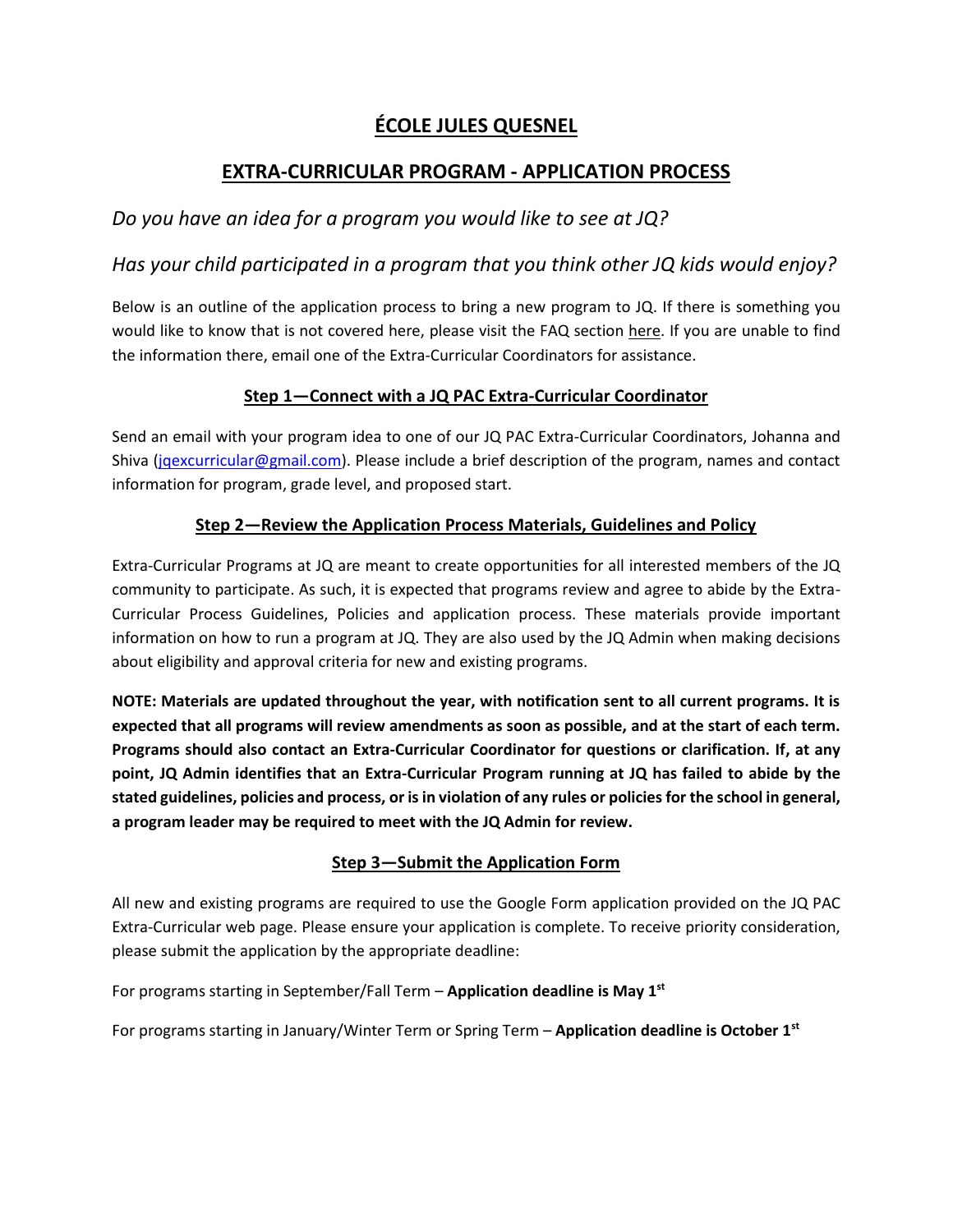# **ÉCOLE JULES QUESNEL**

# **EXTRA-CURRICULAR PROGRAM - APPLICATION PROCESS**

# *Do you have an idea for a program you would like to see at JQ?*

# *Has your child participated in a program that you think other JQ kids would enjoy?*

Below is an outline of the application process to bring a new program to JQ. If there is something you would like to know that is not covered here, please visit the FAQ section here. If you are unable to find the information there, email one of the Extra-Curricular Coordinators for assistance.

### **Step 1—Connect with a JQ PAC Extra-Curricular Coordinator**

Send an email with your program idea to one of our JQ PAC Extra-Curricular Coordinators, Johanna and Shiva [\(jqexcurricular@gmail.com\)](mailto:jqexcurricular@gmail.com). Please include a brief description of the program, names and contact information for program, grade level, and proposed start.

## **Step 2—Review the Application Process Materials, Guidelines and Policy**

Extra-Curricular Programs at JQ are meant to create opportunities for all interested members of the JQ community to participate. As such, it is expected that programs review and agree to abide by the Extra-Curricular Process Guidelines, Policies and application process. These materials provide important information on how to run a program at JQ. They are also used by the JQ Admin when making decisions about eligibility and approval criteria for new and existing programs.

**NOTE: Materials are updated throughout the year, with notification sent to all current programs. It is expected that all programs will review amendments as soon as possible, and at the start of each term. Programs should also contact an Extra-Curricular Coordinator for questions or clarification. If, at any point, JQ Admin identifies that an Extra-Curricular Program running at JQ has failed to abide by the stated guidelines, policies and process, or is in violation of any rules or policies for the school in general, a program leader may be required to meet with the JQ Admin for review.**

### **Step 3—Submit the Application Form**

All new and existing programs are required to use the Google Form application provided on the JQ PAC Extra-Curricular web page. Please ensure your application is complete. To receive priority consideration, please submit the application by the appropriate deadline:

For programs starting in September/Fall Term – **Application deadline is May 1st**

For programs starting in January/Winter Term or Spring Term – **Application deadline is October 1st**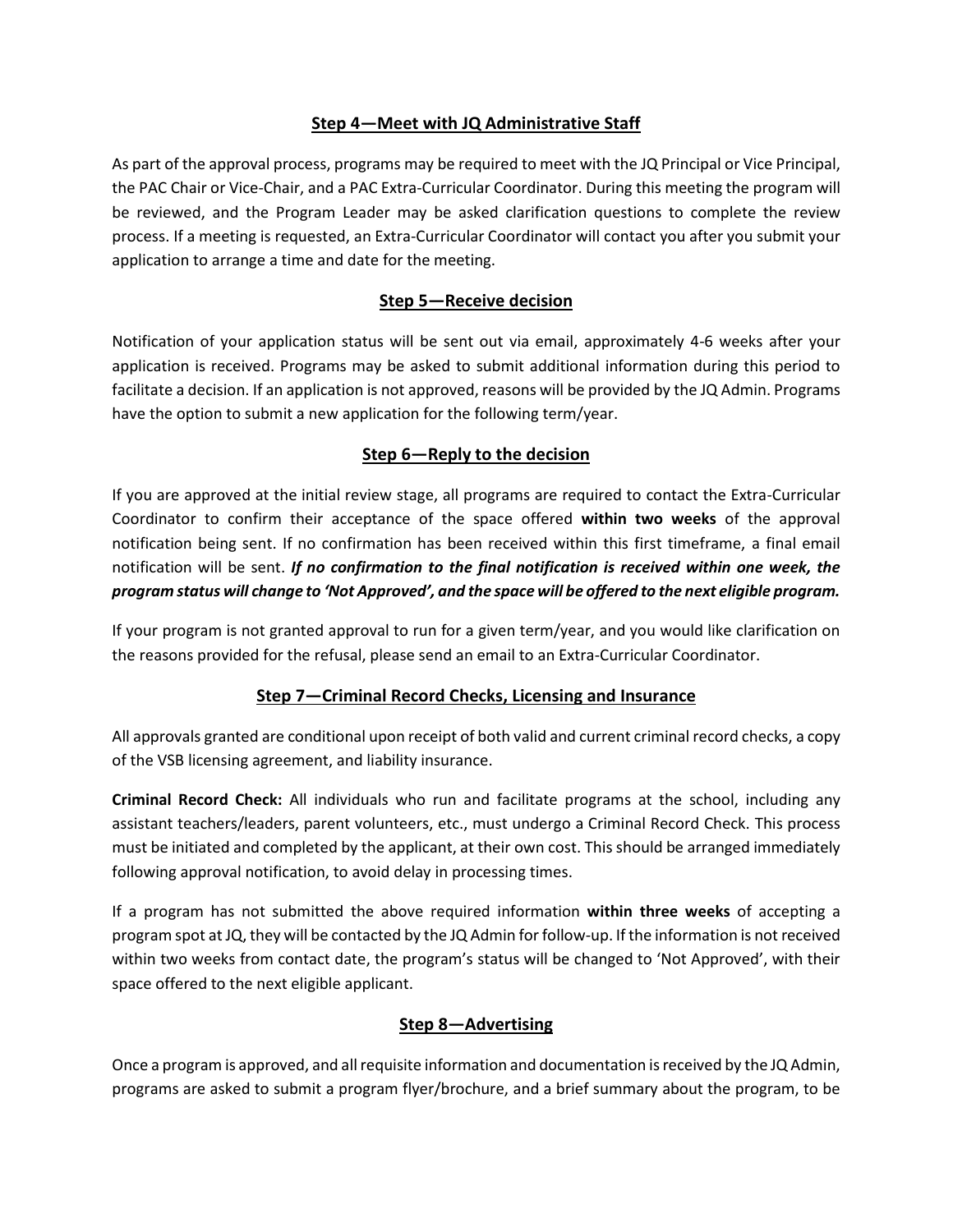#### **Step 4—Meet with JQ Administrative Staff**

As part of the approval process, programs may be required to meet with the JQ Principal or Vice Principal, the PAC Chair or Vice-Chair, and a PAC Extra-Curricular Coordinator. During this meeting the program will be reviewed, and the Program Leader may be asked clarification questions to complete the review process. If a meeting is requested, an Extra-Curricular Coordinator will contact you after you submit your application to arrange a time and date for the meeting.

#### **Step 5—Receive decision**

Notification of your application status will be sent out via email, approximately 4-6 weeks after your application is received. Programs may be asked to submit additional information during this period to facilitate a decision. If an application is not approved, reasons will be provided by the JQ Admin. Programs have the option to submit a new application for the following term/year.

#### **Step 6—Reply to the decision**

If you are approved at the initial review stage, all programs are required to contact the Extra-Curricular Coordinator to confirm their acceptance of the space offered **within two weeks** of the approval notification being sent. If no confirmation has been received within this first timeframe, a final email notification will be sent. *If no confirmation to the final notification is received within one week, the program status will change to 'Not Approved', and the space will be offered to the next eligible program.*

If your program is not granted approval to run for a given term/year, and you would like clarification on the reasons provided for the refusal, please send an email to an Extra-Curricular Coordinator.

#### **Step 7—Criminal Record Checks, Licensing and Insurance**

All approvals granted are conditional upon receipt of both valid and current criminal record checks, a copy of the VSB licensing agreement, and liability insurance.

**Criminal Record Check:** All individuals who run and facilitate programs at the school, including any assistant teachers/leaders, parent volunteers, etc., must undergo a Criminal Record Check. This process must be initiated and completed by the applicant, at their own cost. This should be arranged immediately following approval notification, to avoid delay in processing times.

If a program has not submitted the above required information **within three weeks** of accepting a program spot at JQ, they will be contacted by the JQ Admin for follow-up. If the information is not received within two weeks from contact date, the program's status will be changed to 'Not Approved', with their space offered to the next eligible applicant.

#### **Step 8—Advertising**

Once a program is approved, and all requisite information and documentation is received by the JQ Admin, programs are asked to submit a program flyer/brochure, and a brief summary about the program, to be